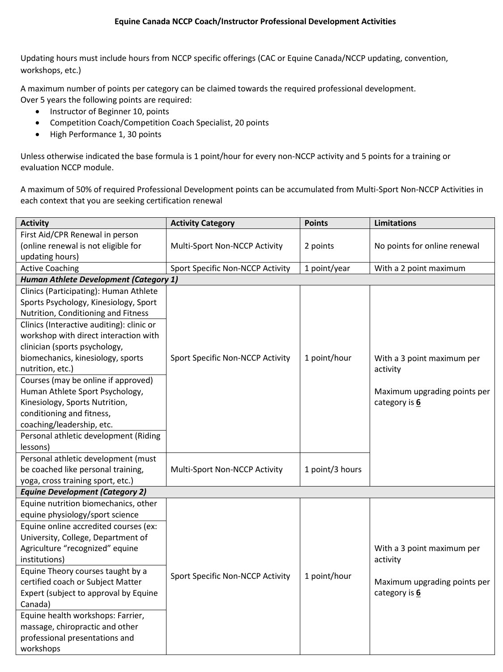Updating hours must include hours from NCCP specific offerings (CAC or Equine Canada/NCCP updating, convention, workshops, etc.)

A maximum number of points per category can be claimed towards the required professional development. Over 5 years the following points are required:

- Instructor of Beginner 10, points
- Competition Coach/Competition Coach Specialist, 20 points
- High Performance 1, 30 points

Unless otherwise indicated the base formula is 1 point/hour for every non-NCCP activity and 5 points for a training or evaluation NCCP module.

A maximum of 50% of required Professional Development points can be accumulated from Multi-Sport Non-NCCP Activities in each context that you are seeking certification renewal

| <b>Activity</b>                               | <b>Activity Category</b>         | <b>Points</b>   | <b>Limitations</b>           |  |  |
|-----------------------------------------------|----------------------------------|-----------------|------------------------------|--|--|
| First Aid/CPR Renewal in person               |                                  |                 |                              |  |  |
| (online renewal is not eligible for           | Multi-Sport Non-NCCP Activity    | 2 points        | No points for online renewal |  |  |
| updating hours)                               |                                  |                 |                              |  |  |
| <b>Active Coaching</b>                        | Sport Specific Non-NCCP Activity | 1 point/year    | With a 2 point maximum       |  |  |
| <b>Human Athlete Development (Category 1)</b> |                                  |                 |                              |  |  |
| Clinics (Participating): Human Athlete        |                                  |                 |                              |  |  |
| Sports Psychology, Kinesiology, Sport         |                                  |                 |                              |  |  |
| Nutrition, Conditioning and Fitness           |                                  |                 |                              |  |  |
| Clinics (Interactive auditing): clinic or     |                                  |                 |                              |  |  |
| workshop with direct interaction with         |                                  |                 |                              |  |  |
| clinician (sports psychology,                 |                                  |                 |                              |  |  |
| biomechanics, kinesiology, sports             | Sport Specific Non-NCCP Activity | 1 point/hour    | With a 3 point maximum per   |  |  |
| nutrition, etc.)                              |                                  |                 | activity                     |  |  |
| Courses (may be online if approved)           |                                  |                 |                              |  |  |
| Human Athlete Sport Psychology,               |                                  |                 | Maximum upgrading points per |  |  |
| Kinesiology, Sports Nutrition,                |                                  |                 | category is 6                |  |  |
| conditioning and fitness,                     |                                  |                 |                              |  |  |
| coaching/leadership, etc.                     |                                  |                 |                              |  |  |
| Personal athletic development (Riding         |                                  |                 |                              |  |  |
| lessons)                                      |                                  |                 |                              |  |  |
| Personal athletic development (must           |                                  |                 |                              |  |  |
| be coached like personal training,            | Multi-Sport Non-NCCP Activity    | 1 point/3 hours |                              |  |  |
| yoga, cross training sport, etc.)             |                                  |                 |                              |  |  |
| <b>Equine Development (Category 2)</b>        |                                  |                 |                              |  |  |
| Equine nutrition biomechanics, other          |                                  |                 |                              |  |  |
| equine physiology/sport science               |                                  |                 |                              |  |  |
| Equine online accredited courses (ex:         |                                  |                 |                              |  |  |
| University, College, Department of            |                                  |                 |                              |  |  |
| Agriculture "recognized" equine               |                                  |                 | With a 3 point maximum per   |  |  |
| institutions)                                 |                                  |                 | activity                     |  |  |
| Equine Theory courses taught by a             | Sport Specific Non-NCCP Activity | 1 point/hour    |                              |  |  |
| certified coach or Subject Matter             |                                  |                 | Maximum upgrading points per |  |  |
| Expert (subject to approval by Equine         |                                  |                 | category is 6                |  |  |
| Canada)                                       |                                  |                 |                              |  |  |
| Equine health workshops: Farrier,             |                                  |                 |                              |  |  |
| massage, chiropractic and other               |                                  |                 |                              |  |  |
| professional presentations and                |                                  |                 |                              |  |  |
| workshops                                     |                                  |                 |                              |  |  |